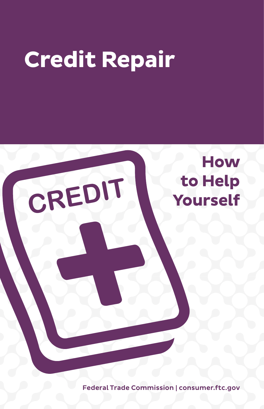# **Credit Repair**



Federal Trade Commission | consumer.[ftc.gov](http://www.ftc.gov)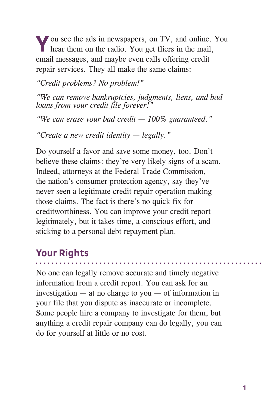**Y**ou see the ads in newspapers, on TV, and online. You hear them on the radio. You get fliers in the mail, email messages, and maybe even calls offering credit repair services. They all make the same claims:

*"Credit problems? No problem!"*

*"We can remove bankruptcies, judgments, liens, and bad loans from your credit file forever!"*

*"We can erase your bad credit — 100% guaranteed."*

*"Create a new credit identity — legally."*

Do yourself a favor and save some money, too. Don't believe these claims: they're very likely signs of a scam. Indeed, attorneys at the Federal Trade Commission, the nation's consumer protection agency, say they've never seen a legitimate credit repair operation making those claims. The fact is there's no quick fix for creditworthiness. You can improve your credit report legitimately, but it takes time, a conscious effort, and sticking to a personal debt repayment plan.

# **Your Rights**

No one can legally remove accurate and timely negative information from a credit report. You can ask for an investigation — at no charge to you — of information in your file that you dispute as inaccurate or incomplete. Some people hire a company to investigate for them, but anything a credit repair company can do legally, you can do for yourself at little or no cost.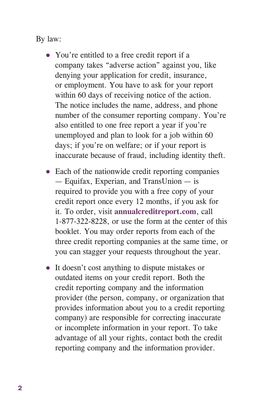By law:

- You're entitled to a free credit report if a company takes "adverse action" against you, like denying your application for credit, insurance, or employment. You have to ask for your report within 60 days of receiving notice of the action. The notice includes the name, address, and phone number of the consumer reporting company. You're also entitled to one free report a year if you're unemployed and plan to look for a job within 60 days; if you're on welfare; or if your report is inaccurate because of fraud, including identity theft.
- Each of the nationwide credit reporting companies — Equifax, Experian, and TransUnion — is required to provide you with a free copy of your credit report once every 12 months, if you ask for it. To order, visit **annualcreditreport.com**, call 1-877-322-8228, or use the form at the center of this booklet. You may order reports from each of the three credit reporting companies at the same time, or you can stagger your requests throughout the year.
- It doesn't cost anything to dispute mistakes or outdated items on your credit report. Both the credit reporting company and the information provider (the person, company, or organization that provides information about you to a credit reporting company) are responsible for correcting inaccurate or incomplete information in your report. To take advantage of all your rights, contact both the credit reporting company and the information provider.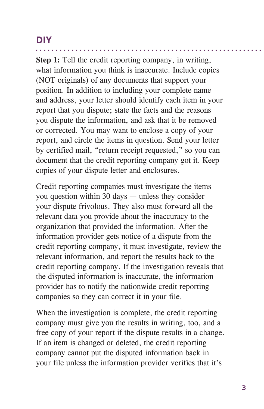# **DIY**

**Step 1:** Tell the credit reporting company, in writing, what information you think is inaccurate. Include copies (NOT originals) of any documents that support your position. In addition to including your complete name and address, your letter should identify each item in your report that you dispute; state the facts and the reasons you dispute the information, and ask that it be removed or corrected. You may want to enclose a copy of your report, and circle the items in question. Send your letter by certified mail, "return receipt requested," so you can document that the credit reporting company got it. Keep copies of your dispute letter and enclosures.

Credit reporting companies must investigate the items you question within 30 days — unless they consider your dispute frivolous. They also must forward all the relevant data you provide about the inaccuracy to the organization that provided the information. After the information provider gets notice of a dispute from the credit reporting company, it must investigate, review the relevant information, and report the results back to the credit reporting company. If the investigation reveals that the disputed information is inaccurate, the information provider has to notify the nationwide credit reporting companies so they can correct it in your file.

When the investigation is complete, the credit reporting company must give you the results in writing, too, and a free copy of your report if the dispute results in a change. If an item is changed or deleted, the credit reporting company cannot put the disputed information back in your file unless the information provider verifies that it's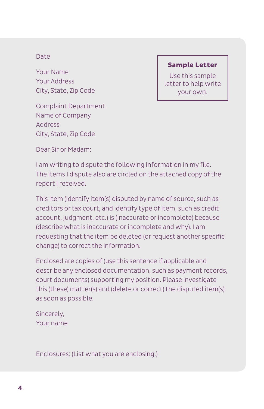#### Date

Your Name Your Address City, State, Zip Code

Complaint Department Name of Company Address City, State, Zip Code

#### **Sample Letter**

Use this sample letter to help write your own.

Dear Sir or Madam:

I am writing to dispute the following information in my file. The items I dispute also are circled on the attached copy of the report I received.

This item (identify item(s) disputed by name of source, such as creditors or tax court, and identify type of item, such as credit account, judgment, etc.) is (inaccurate or incomplete) because (describe what is inaccurate or incomplete and why). I am requesting that the item be deleted (or request another specific change) to correct the information.

Enclosed are copies of (use this sentence if applicable and describe any enclosed documentation, such as payment records, court documents) supporting my position. Please investigate this (these) matter(s) and (delete or correct) the disputed item(s) as soon as possible.

Sincerely, Your name

Enclosures: (List what you are enclosing.)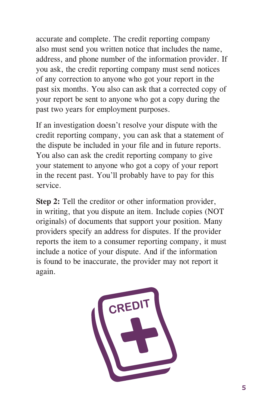accurate and complete. The credit reporting company also must send you written notice that includes the name, address, and phone number of the information provider. If you ask, the credit reporting company must send notices of any correction to anyone who got your report in the past six months. You also can ask that a corrected copy of your report be sent to anyone who got a copy during the past two years for employment purposes.

If an investigation doesn't resolve your dispute with the credit reporting company, you can ask that a statement of the dispute be included in your file and in future reports. You also can ask the credit reporting company to give your statement to anyone who got a copy of your report in the recent past. You'll probably have to pay for this service.

**Step 2:** Tell the creditor or other information provider, in writing, that you dispute an item. Include copies (NOT originals) of documents that support your position. Many providers specify an address for disputes. If the provider reports the item to a consumer reporting company, it must include a notice of your dispute. And if the information is found to be inaccurate, the provider may not report it again.

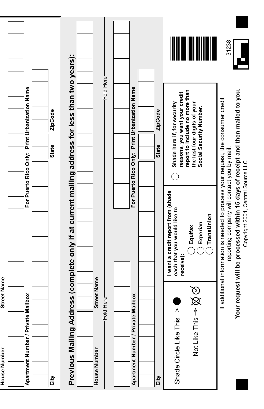| <b>Street Name</b><br>House Number |                                                                                                                                |                                                                                           |
|------------------------------------|--------------------------------------------------------------------------------------------------------------------------------|-------------------------------------------------------------------------------------------|
|                                    |                                                                                                                                |                                                                                           |
| Apartment Number / Private Mailbox |                                                                                                                                | For Puerto Rico Only: Print Urbanization Name                                             |
|                                    |                                                                                                                                |                                                                                           |
| City                               |                                                                                                                                | ZipCode<br><b>State</b>                                                                   |
| Previous Mailing Ad                |                                                                                                                                | dress (complete only if at current mailing address for less than two years):              |
|                                    |                                                                                                                                |                                                                                           |
| <b>Street Name</b><br>House Number |                                                                                                                                |                                                                                           |
| Fold Here                          |                                                                                                                                | Fold Here                                                                                 |
|                                    |                                                                                                                                |                                                                                           |
| Apartment Number / Private Mailbox |                                                                                                                                | For Puerto Rico Only: Print Urbanization Name                                             |
|                                    |                                                                                                                                |                                                                                           |
| City                               |                                                                                                                                | ZipCode<br><b>State</b>                                                                   |
| Shade Circle Like This             | I want a credit report from (shade<br>each that you would like to<br>receive):                                                 | reasons, you want your credit<br>Shade here if, for security                              |
| $\otimes \otimes$<br>Not Like This | TransUnion<br>Experian<br>Equifax                                                                                              | report to include no more than<br>the last four digits of your<br>Social Security Number. |
|                                    |                                                                                                                                |                                                                                           |
|                                    | If additional information is needed to process your request, the consumer credit<br>reporting company will contact you by mail | 31238                                                                                     |
|                                    | our request will be processed within 15 days of receipt and then mailed to you.<br>Copyright 2004, Central Source LLC          |                                                                                           |

-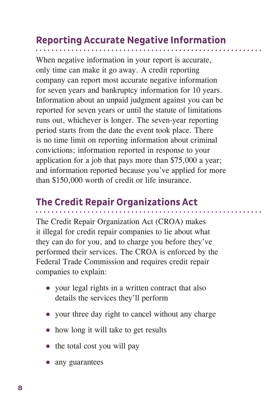# **Reporting Accurate Negative Information**

When negative information in your report is accurate, only time can make it go away. A credit reporting company can report most accurate negative information for seven years and bankruptcy information for 10 years. Information about an unpaid judgment against you can be reported for seven years or until the statute of limitations runs out, whichever is longer. The seven-year reporting period starts from the date the event took place. There is no time limit on reporting information about criminal convictions; information reported in response to your application for a job that pays more than \$75,000 a year; and information reported because you've applied for more than \$150,000 worth of credit or life insurance.

## **The Credit Repair Organizations Act**

The Credit Repair Organization Act (CROA) makes it illegal for credit repair companies to lie about what they can do for you, and to charge you before they've performed their services. The CROA is enforced by the Federal Trade Commission and requires credit repair companies to explain:

- your legal rights in a written contract that also details the services they'll perform
- your three day right to cancel without any charge
- how long it will take to get results
- the total cost you will pay
- any guarantees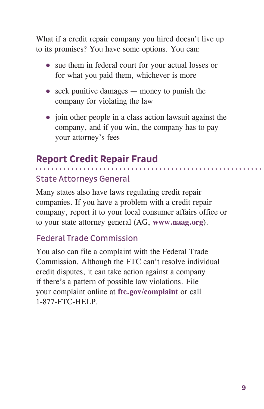What if a credit repair company you hired doesn't live up to its promises? You have some options. You can:

- sue them in federal court for your actual losses or for what you paid them, whichever is more
- $\bullet$  seek punitive damages money to punish the company for violating the law
- join other people in a class action lawsuit against the company, and if you win, the company has to pay your attorney's fees

## **Report Credit Repair Fraud**

. . . . . . .

### State Attorneys General

Many states also have laws regulating credit repair companies. If you have a problem with a credit repair company, report it to your local consumer affairs office or to your state attorney general (AG, **www.naag.org**).

### Federal Trade Commission

You also can file a complaint with the Federal Trade Commission. Although the FTC can't resolve individual credit disputes, it can take action against a company if there's a pattern of possible law violations. File your complaint online at **ftc.gov/complaint** or call 1-877-FTC-HELP.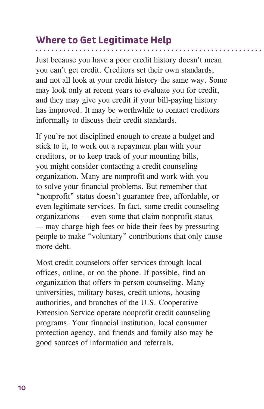# **Where to Get Legitimate Help**

Just because you have a poor credit history doesn't mean you can't get credit. Creditors set their own standards, and not all look at your credit history the same way. Some may look only at recent years to evaluate you for credit, and they may give you credit if your bill-paying history has improved. It may be worthwhile to contact creditors informally to discuss their credit standards.

If you're not disciplined enough to create a budget and stick to it, to work out a repayment plan with your creditors, or to keep track of your mounting bills, you might consider contacting a credit counseling organization. Many are nonprofit and work with you to solve your financial problems. But remember that "nonprofit" status doesn't guarantee free, affordable, or even legitimate services. In fact, some credit counseling organizations — even some that claim nonprofit status — may charge high fees or hide their fees by pressuring people to make "voluntary" contributions that only cause more debt.

Most credit counselors offer services through local offices, online, or on the phone. If possible, find an organization that offers in-person counseling. Many universities, military bases, credit unions, housing authorities, and branches of the U.S. Cooperative Extension Service operate nonprofit credit counseling programs. Your financial institution, local consumer protection agency, and friends and family also may be good sources of information and referrals.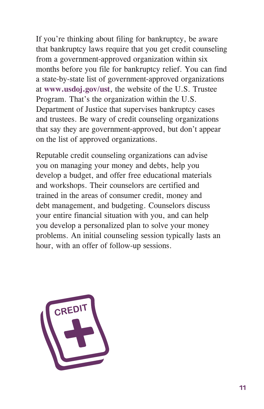If you're thinking about filing for bankruptcy, be aware that bankruptcy laws require that you get credit counseling from a government-approved organization within six months before you file for bankruptcy relief. You can find a state-by-state list of government-approved organizations at **www.usdoj.gov/ust**, the website of the U.S. Trustee Program. That's the organization within the U.S. Department of Justice that supervises bankruptcy cases and trustees. Be wary of credit counseling organizations that say they are government-approved, but don't appear on the list of approved organizations.

Reputable credit counseling organizations can advise you on managing your money and debts, help you develop a budget, and offer free educational materials and workshops. Their counselors are certified and trained in the areas of consumer credit, money and debt management, and budgeting. Counselors discuss your entire financial situation with you, and can help you develop a personalized plan to solve your money problems. An initial counseling session typically lasts an hour, with an offer of follow-up sessions.

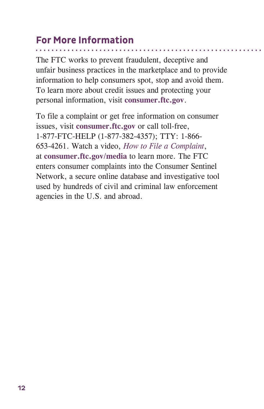# **For More Information**

The FTC works to prevent fraudulent, deceptive and unfair business practices in the marketplace and to provide information to help consumers spot, stop and avoid them. To learn more about credit issues and protecting your personal information, visit **[consumer.ftc.gov](http://www.consumer.ftc.gov)**.

To file a complaint or get free information on consumer issues, visit **[consumer.ftc.gov](http://www.consumer.ftc.gov)** or call toll-free, 1-877-FTC-HELP (1-877-382-4357); TTY: 1-866- 653-4261. Watch a video, *How to File a Complaint*, at **[consumer.ftc.gov](http://consumer.ftc.gov/media)/media** to learn more. The FTC enters consumer complaints into the Consumer Sentinel Network, a secure online database and investigative tool used by hundreds of civil and criminal law enforcement agencies in the U.S. and abroad.